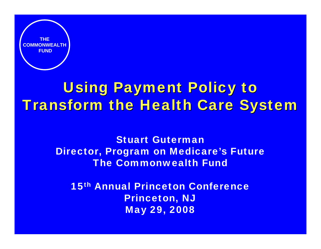

# Using Payment Policy to **Transform the Health Care System**

Stuart GutermanDirector, Program on Medicare's Future The Commonwealth Fund

15th Annual Princeton ConferencePrinceton, NJ May 29, 2008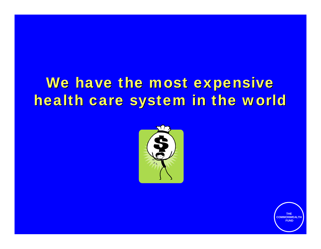# We have the most expensive health care system in the world

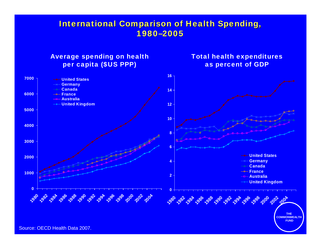### **International Comparison of Health Spending,** 1980–2005

### Average spending on health per capita (\$US PPP)

#### Total health expenditures as percent of GDP

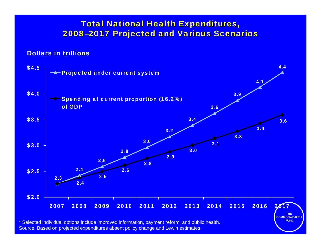### **Total National Health Expenditures,** 2008 –2017 Projected and Various Scenarios 2017 Projected and Various Scenarios

#### Dollars in trillions



\* Selected individual options include improved information, payment reform, and public health. Source: Based on projected expenditures absent policy change and Lewin estimates.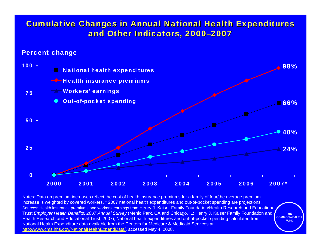### **Cumulative Changes in Annual National Health Expenditures** and Other Indicators, 2000–2007

#### Percent change



**THE COMMONWEALTHFUND**Notes: Data on premium increases reflect the cost of health insurance premiums for a family of four/the average premium increase is weighted by covered workers. \* 2007 national health expenditures and out-of-pocket spending are projections. Sources: Health insurance premiums and workers' earnings from Henry J. Kaiser Family Foundation/Health Research and Educational Trust *Employer Health Benefits: 2007 Annual Survey* (Menlo Park, CA and Chicago, IL: Henry J. Kaiser Family Foundation and Health Research and Educational Trust, 2007); National health expenditures and out-of-pocket spending calculated from National Health Expenditure data available from the Centers for Medicare & Medicaid Services at http://www.cms.hhs.gov/NationalHealthExpendData/, accessed May 4, 2008.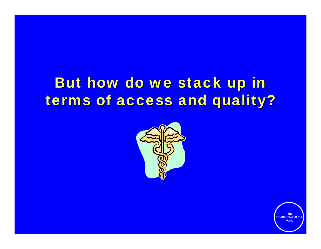# But how do we stack up in terms of access and quality?

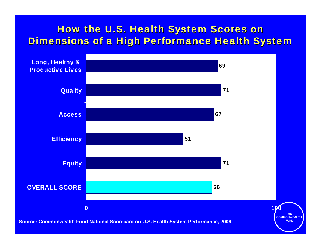### How the U.S. Health System Scores on Dimensions of a High Performance Health System

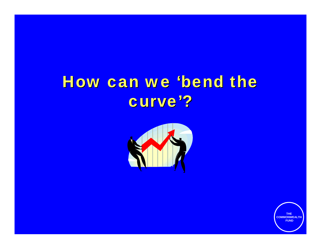# How can we 'bend the curve'?

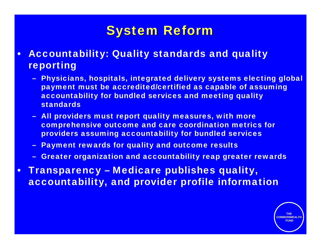## **System Reform**

- $\bullet$  Accountability: Quality standards and quality reporting
	- Physicians, hospitals, integrated delivery systems electing global payment must be accredited/certified as capable of assuming accountability for bundled services and meeting quality standards
	- All providers must report quality measures, with more comprehensive outcome and care coordination metrics for providers assuming accountability for bundled services
	- Payment rewards for quality and outcome results
	- Greater organization and accountability reap greater rewards
- $\bullet$  Transparency – Medicare publishes quality, accountability, and provider profile information

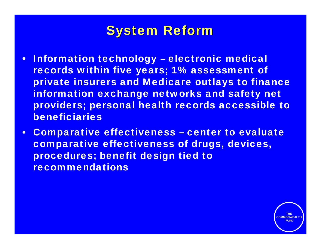## **System Reform**

- Information technology electronic medical records within five years; 1% assessment of private insurers and Medicare outlays to finance information exchange networks and safety net providers; personal health records accessible to beneficiaries
- $\bullet$  Comparative effectiveness – center to evaluate comparative effectiveness of drugs, devices, procedures; benefit design tied to recommendations

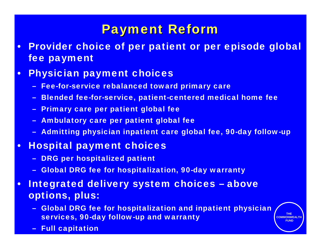## **Payment Reform**

• Provider choice of per patient or per episode global fee payment

#### •Physician payment choices

- Fee-for-service rebalanced toward primary care
- Blended fee-for-service, patient-centered medical home fee
- Primary care per patient global fee
- Ambulatory care per patient global fee
- –Admitting physician inpatient care global fee, 90-day follow-up

#### $\bullet$ Hospital payment choices

- DRG per hospitalized patient
- Global DRG fee for hospitalization, 90-day warranty
- $\bullet$  Integrated delivery system choices – above options, plus:
	- Global DRG fee for hospitalization and inpatient physician services, 90-day follow-up and warranty

**THE COMMONWEALTHFUND**

Full capitation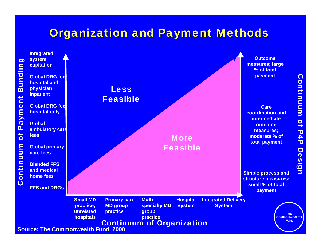### **Organization and Payment Methods**

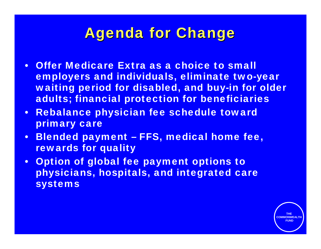## **Agenda for Change**

- • Offer Medicare Extra as a choice to small employers and individuals, eliminate two-year waiting period for disabled, and buy-in for older adults; financial protection for beneficiaries
- $\bullet$  Rebalance physician fee schedule toward primary care
- • Blended payment – FFS, medical home fee, rewards for quality
- • Option of global fee payment options to physicians, hospitals, and integrated care systems

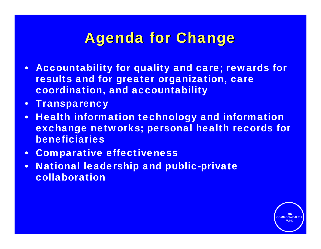## **Agenda for Change**

- $\bullet$  Accountability for quality and care; rewards for results and for greater organization, care coordination, and accountability
- •**Transparency**
- $\bullet$  Health information technology and information exchange networks; personal health records for beneficiaries

- $\bullet$ Comparative effectiveness
- • National leadership and public-private collaboration